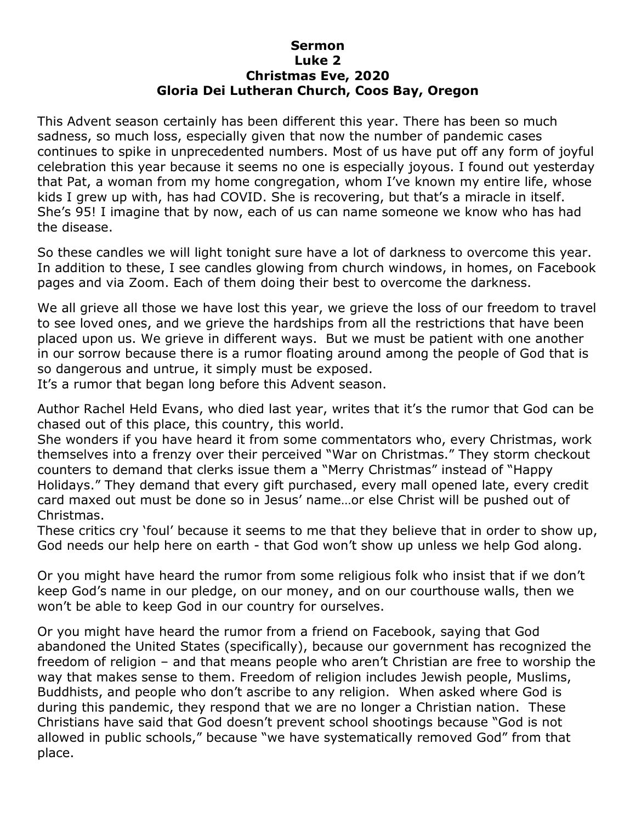## **Sermon Luke 2 Christmas Eve, 2020 Gloria Dei Lutheran Church, Coos Bay, Oregon**

This Advent season certainly has been different this year. There has been so much sadness, so much loss, especially given that now the number of pandemic cases continues to spike in unprecedented numbers. Most of us have put off any form of joyful celebration this year because it seems no one is especially joyous. I found out yesterday that Pat, a woman from my home congregation, whom I've known my entire life, whose kids I grew up with, has had COVID. She is recovering, but that's a miracle in itself. She's 95! I imagine that by now, each of us can name someone we know who has had the disease.

So these candles we will light tonight sure have a lot of darkness to overcome this year. In addition to these, I see candles glowing from church windows, in homes, on Facebook pages and via Zoom. Each of them doing their best to overcome the darkness.

We all grieve all those we have lost this year, we grieve the loss of our freedom to travel to see loved ones, and we grieve the hardships from all the restrictions that have been placed upon us. We grieve in different ways. But we must be patient with one another in our sorrow because there is a rumor floating around among the people of God that is so dangerous and untrue, it simply must be exposed.

It's a rumor that began long before this Advent season.

Author Rachel Held Evans, who died last year, writes that it's the rumor that God can be chased out of this place, this country, this world.

She wonders if you have heard it from some commentators who, every Christmas, work themselves into a frenzy over their perceived "War on Christmas." They storm checkout counters to demand that clerks issue them a "Merry Christmas" instead of "Happy Holidays." They demand that every gift purchased, every mall opened late, every credit card maxed out must be done so in Jesus' name…or else Christ will be pushed out of Christmas.

These critics cry 'foul' because it seems to me that they believe that in order to show up, God needs our help here on earth - that God won't show up unless we help God along.

Or you might have heard the rumor from some religious folk who insist that if we don't keep God's name in our pledge, on our money, and on our courthouse walls, then we won't be able to keep God in our country for ourselves.

Or you might have heard the rumor from a friend on Facebook, saying that God abandoned the United States (specifically), because our government has recognized the freedom of religion – and that means people who aren't Christian are free to worship the way that makes sense to them. Freedom of religion includes Jewish people, Muslims, Buddhists, and people who don't ascribe to any religion. When asked where God is during this pandemic, they respond that we are no longer a Christian nation. These Christians have said that God doesn't prevent school shootings because "God is not allowed in public schools," because "we have systematically removed God" from that place.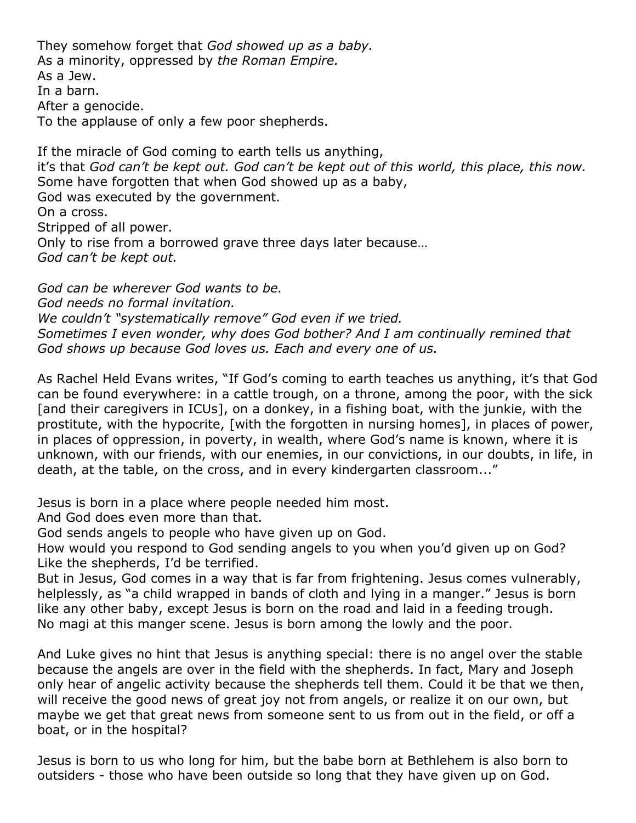They somehow forget that *God showed up as a baby.* As a minority, oppressed by *the Roman Empire.* As a Jew. In a barn. After a genocide. To the applause of only a few poor shepherds.

If the miracle of God coming to earth tells us anything, it's that *God can't be kept out. God can't be kept out of this world, this place, this now.* Some have forgotten that when God showed up as a baby, God was executed by the government. On a cross. Stripped of all power. Only to rise from a borrowed grave three days later because… *God can't be kept out.*

*God can be wherever God wants to be. God needs no formal invitation. We couldn't "systematically remove" God even if we tried. Sometimes I even wonder, why does God bother? And I am continually remined that God shows up because God loves us. Each and every one of us.*

As Rachel Held Evans writes, "If God's coming to earth teaches us anything, it's that God can be found everywhere: in a cattle trough, on a throne, among the poor, with the sick [and their caregivers in ICUs], on a donkey, in a fishing boat, with the junkie, with the prostitute, with the hypocrite, [with the forgotten in nursing homes], in places of power, in places of oppression, in poverty, in wealth, where God's name is known, where it is unknown, with our friends, with our enemies, in our convictions, in our doubts, in life, in death, at the table, on the cross, and in every kindergarten classroom..."

Jesus is born in a place where people needed him most.

And God does even more than that.

God sends angels to people who have given up on God.

How would you respond to God sending angels to you when you'd given up on God? Like the shepherds, I'd be terrified.

But in Jesus, God comes in a way that is far from frightening. Jesus comes vulnerably, helplessly, as "a child wrapped in bands of cloth and lying in a manger." Jesus is born like any other baby, except Jesus is born on the road and laid in a feeding trough. No magi at this manger scene. Jesus is born among the lowly and the poor.

And Luke gives no hint that Jesus is anything special: there is no angel over the stable because the angels are over in the field with the shepherds. In fact, Mary and Joseph only hear of angelic activity because the shepherds tell them. Could it be that we then, will receive the good news of great joy not from angels, or realize it on our own, but maybe we get that great news from someone sent to us from out in the field, or off a boat, or in the hospital?

Jesus is born to us who long for him, but the babe born at Bethlehem is also born to outsiders - those who have been outside so long that they have given up on God.